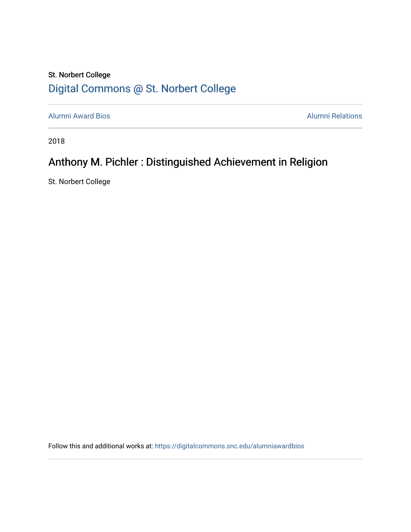## St. Norbert College [Digital Commons @ St. Norbert College](https://digitalcommons.snc.edu/)

[Alumni Award Bios](https://digitalcommons.snc.edu/alumniawardbios) **Alumni Relations** Alumni Relations

2018

# Anthony M. Pichler : Distinguished Achievement in Religion

St. Norbert College

Follow this and additional works at: [https://digitalcommons.snc.edu/alumniawardbios](https://digitalcommons.snc.edu/alumniawardbios?utm_source=digitalcommons.snc.edu%2Falumniawardbios%2F69&utm_medium=PDF&utm_campaign=PDFCoverPages)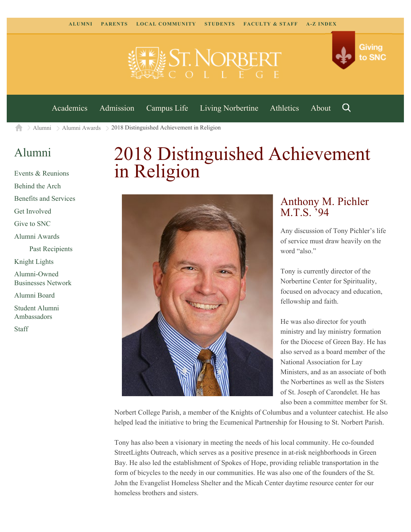



[Academics](https://www.snc.edu/academics) [Admission](https://www.snc.edu/admission) [Campus Life](https://www.snc.edu/campuslife) [Living Norbertine](https://www.snc.edu/livingnorbertine) [Athletics](https://www.snc.edu/athletics) [About](https://www.snc.edu/about)

Q

[Alumni](https://www.snc.edu/alumni/)  $\geq$  [Alumni Awards](https://www.snc.edu/alumni/awards/)  $\geq$  2018 Distinguished Achievement in Religion A

### [Alumni](https://www.snc.edu/alumni/index.html)

[Events & Reunions](https://www.snc.edu/alumni/event/index.html) [Behind the Arch](https://www.snc.edu/alumni/event/behindthearch/) [Benefits and Services](https://www.snc.edu/alumni/benefits.html) [Get Involved](https://www.snc.edu/alumni/getinvolved.html) [Give to SNC](http://giving.snc.edu/) [Alumni Awards](https://www.snc.edu/alumni/awards/index.html) [Past Recipients](https://www.snc.edu/alumni/awards/recipients.html) [Knight Lights](https://www.snc.edu/alumni/knightlights/index.html) [Alumni-Owned](https://www.snc.edu/alumni/directory/index.html) [Businesses Network](https://www.snc.edu/alumni/directory/index.html) [Alumni Board](https://www.snc.edu/alumni/alumniboard.html) [Student Alumni](https://www.snc.edu/alumni/saa.html) [Ambassadors](https://www.snc.edu/alumni/saa.html) [Staff](https://www.snc.edu/alumni/contactus.html)

# 2018 Distinguished Achievement in Religion



#### Anthony M. Pichler M.T.S. '94

Any discussion of Tony Pichler's life of service must draw heavily on the word "also."

Tony is currently director of the Norbertine Center for Spirituality, focused on advocacy and education, fellowship and faith.

He was also director for youth ministry and lay ministry formation for the Diocese of Green Bay. He has also served as a board member of the National Association for Lay Ministers, and as an associate of both the Norbertines as well as the Sisters of St. Joseph of Carondelet. He has also been a committee member for St.

Norbert College Parish, a member of the Knights of Columbus and a volunteer catechist. He also helped lead the initiative to bring the Ecumenical Partnership for Housing to St. Norbert Parish.

Tony has also been a visionary in meeting the needs of his local community. He co-founded StreetLights Outreach, which serves as a positive presence in at-risk neighborhoods in Green Bay. He also led the establishment of Spokes of Hope, providing reliable transportation in the form of bicycles to the needy in our communities. He was also one of the founders of the St. John the Evangelist Homeless Shelter and the Micah Center daytime resource center for our homeless brothers and sisters.